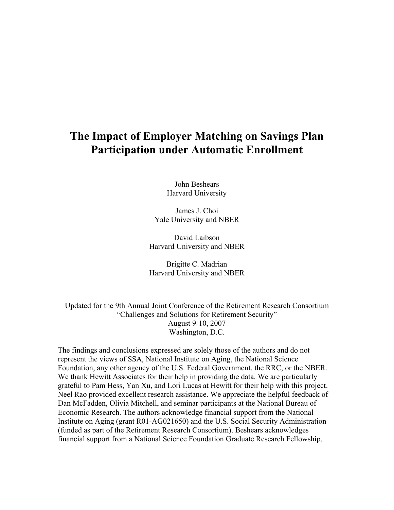## **The Impact of Employer Matching on Savings Plan Participation under Automatic Enrollment**

John Beshears Harvard University

James J. Choi Yale University and NBER

David Laibson Harvard University and NBER

Brigitte C. Madrian Harvard University and NBER

Updated for the 9th Annual Joint Conference of the Retirement Research Consortium "Challenges and Solutions for Retirement Security" August 9-10, 2007 Washington, D.C.

The findings and conclusions expressed are solely those of the authors and do not represent the views of SSA, National Institute on Aging, the National Science Foundation, any other agency of the U.S. Federal Government, the RRC, or the NBER. We thank Hewitt Associates for their help in providing the data. We are particularly grateful to Pam Hess, Yan Xu, and Lori Lucas at Hewitt for their help with this project. Neel Rao provided excellent research assistance. We appreciate the helpful feedback of Dan McFadden, Olivia Mitchell, and seminar participants at the National Bureau of Economic Research. The authors acknowledge financial support from the National Institute on Aging (grant R01-AG021650) and the U.S. Social Security Administration (funded as part of the Retirement Research Consortium). Beshears acknowledges financial support from a National Science Foundation Graduate Research Fellowship.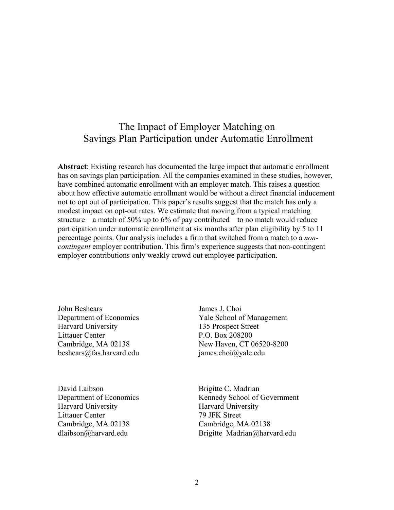## The Impact of Employer Matching on Savings Plan Participation under Automatic Enrollment

**Abstract**: Existing research has documented the large impact that automatic enrollment has on savings plan participation. All the companies examined in these studies, however, have combined automatic enrollment with an employer match. This raises a question about how effective automatic enrollment would be without a direct financial inducement not to opt out of participation. This paper's results suggest that the match has only a modest impact on opt-out rates. We estimate that moving from a typical matching structure—a match of 50% up to 6% of pay contributed—to no match would reduce participation under automatic enrollment at six months after plan eligibility by 5 to 11 percentage points. Our analysis includes a firm that switched from a match to a *noncontingent* employer contribution. This firm's experience suggests that non-contingent employer contributions only weakly crowd out employee participation.

John Beshears Department of Economics Harvard University Littauer Center Cambridge, MA 02138 beshears@fas.harvard.edu

David Laibson Department of Economics Harvard University Littauer Center Cambridge, MA 02138 dlaibson@harvard.edu

James J. Choi Yale School of Management 135 Prospect Street P.O. Box 208200 New Haven, CT 06520-8200 james.choi@yale.edu

Brigitte C. Madrian Kennedy School of Government Harvard University 79 JFK Street Cambridge, MA 02138 Brigitte\_Madrian@harvard.edu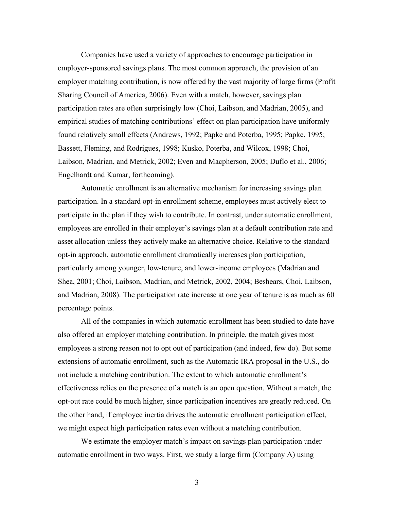Companies have used a variety of approaches to encourage participation in employer-sponsored savings plans. The most common approach, the provision of an employer matching contribution, is now offered by the vast majority of large firms (Profit Sharing Council of America, 2006). Even with a match, however, savings plan participation rates are often surprisingly low (Choi, Laibson, and Madrian, 2005), and empirical studies of matching contributions' effect on plan participation have uniformly found relatively small effects (Andrews, 1992; Papke and Poterba, 1995; Papke, 1995; Bassett, Fleming, and Rodrigues, 1998; Kusko, Poterba, and Wilcox, 1998; Choi, Laibson, Madrian, and Metrick, 2002; Even and Macpherson, 2005; Duflo et al., 2006; Engelhardt and Kumar, forthcoming).

Automatic enrollment is an alternative mechanism for increasing savings plan participation. In a standard opt-in enrollment scheme, employees must actively elect to participate in the plan if they wish to contribute. In contrast, under automatic enrollment, employees are enrolled in their employer's savings plan at a default contribution rate and asset allocation unless they actively make an alternative choice. Relative to the standard opt-in approach, automatic enrollment dramatically increases plan participation, particularly among younger, low-tenure, and lower-income employees (Madrian and Shea, 2001; Choi, Laibson, Madrian, and Metrick, 2002, 2004; Beshears, Choi, Laibson, and Madrian, 2008). The participation rate increase at one year of tenure is as much as 60 percentage points.

All of the companies in which automatic enrollment has been studied to date have also offered an employer matching contribution. In principle, the match gives most employees a strong reason not to opt out of participation (and indeed, few do). But some extensions of automatic enrollment, such as the Automatic IRA proposal in the U.S., do not include a matching contribution. The extent to which automatic enrollment's effectiveness relies on the presence of a match is an open question. Without a match, the opt-out rate could be much higher, since participation incentives are greatly reduced. On the other hand, if employee inertia drives the automatic enrollment participation effect, we might expect high participation rates even without a matching contribution.

We estimate the employer match's impact on savings plan participation under automatic enrollment in two ways. First, we study a large firm (Company A) using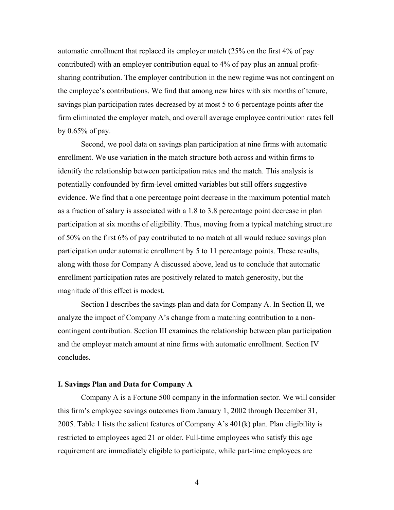automatic enrollment that replaced its employer match (25% on the first 4% of pay contributed) with an employer contribution equal to 4% of pay plus an annual profitsharing contribution. The employer contribution in the new regime was not contingent on the employee's contributions. We find that among new hires with six months of tenure, savings plan participation rates decreased by at most 5 to 6 percentage points after the firm eliminated the employer match, and overall average employee contribution rates fell by 0.65% of pay.

Second, we pool data on savings plan participation at nine firms with automatic enrollment. We use variation in the match structure both across and within firms to identify the relationship between participation rates and the match. This analysis is potentially confounded by firm-level omitted variables but still offers suggestive evidence. We find that a one percentage point decrease in the maximum potential match as a fraction of salary is associated with a 1.8 to 3.8 percentage point decrease in plan participation at six months of eligibility. Thus, moving from a typical matching structure of 50% on the first 6% of pay contributed to no match at all would reduce savings plan participation under automatic enrollment by 5 to 11 percentage points. These results, along with those for Company A discussed above, lead us to conclude that automatic enrollment participation rates are positively related to match generosity, but the magnitude of this effect is modest.

Section I describes the savings plan and data for Company A. In Section II, we analyze the impact of Company A's change from a matching contribution to a noncontingent contribution. Section III examines the relationship between plan participation and the employer match amount at nine firms with automatic enrollment. Section IV concludes.

#### **I. Savings Plan and Data for Company A**

Company A is a Fortune 500 company in the information sector. We will consider this firm's employee savings outcomes from January 1, 2002 through December 31, 2005. Table 1 lists the salient features of Company A's  $401(k)$  plan. Plan eligibility is restricted to employees aged 21 or older. Full-time employees who satisfy this age requirement are immediately eligible to participate, while part-time employees are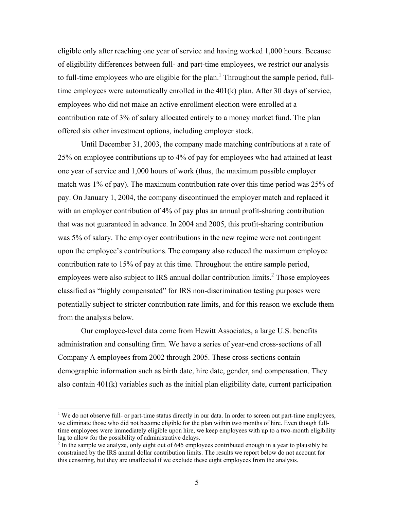eligible only after reaching one year of service and having worked 1,000 hours. Because of eligibility differences between full- and part-time employees, we restrict our analysis to full-time employees who are eligible for the plan.<sup>1</sup> Throughout the sample period, fulltime employees were automatically enrolled in the 401(k) plan. After 30 days of service, employees who did not make an active enrollment election were enrolled at a contribution rate of 3% of salary allocated entirely to a money market fund. The plan offered six other investment options, including employer stock.

Until December 31, 2003, the company made matching contributions at a rate of 25% on employee contributions up to 4% of pay for employees who had attained at least one year of service and 1,000 hours of work (thus, the maximum possible employer match was 1% of pay). The maximum contribution rate over this time period was 25% of pay. On January 1, 2004, the company discontinued the employer match and replaced it with an employer contribution of 4% of pay plus an annual profit-sharing contribution that was not guaranteed in advance. In 2004 and 2005, this profit-sharing contribution was 5% of salary. The employer contributions in the new regime were not contingent upon the employee's contributions. The company also reduced the maximum employee contribution rate to 15% of pay at this time. Throughout the entire sample period, employees were also subject to IRS annual dollar contribution limits.<sup>2</sup> Those employees classified as "highly compensated" for IRS non-discrimination testing purposes were potentially subject to stricter contribution rate limits, and for this reason we exclude them from the analysis below.

Our employee-level data come from Hewitt Associates, a large U.S. benefits administration and consulting firm. We have a series of year-end cross-sections of all Company A employees from 2002 through 2005. These cross-sections contain demographic information such as birth date, hire date, gender, and compensation. They also contain 401(k) variables such as the initial plan eligibility date, current participation

<sup>&</sup>lt;sup>1</sup> We do not observe full- or part-time status directly in our data. In order to screen out part-time employees, we eliminate those who did not become eligible for the plan within two months of hire. Even though fulltime employees were immediately eligible upon hire, we keep employees with up to a two-month eligibility lag to allow for the possibility of administrative delays.

 $2<sup>2</sup>$  In the sample we analyze, only eight out of 645 employees contributed enough in a year to plausibly be constrained by the IRS annual dollar contribution limits. The results we report below do not account for this censoring, but they are unaffected if we exclude these eight employees from the analysis.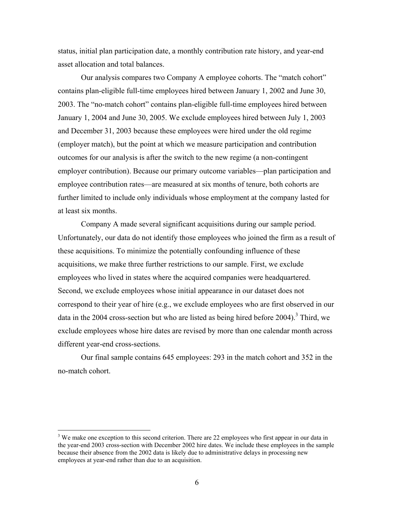status, initial plan participation date, a monthly contribution rate history, and year-end asset allocation and total balances.

Our analysis compares two Company A employee cohorts. The "match cohort" contains plan-eligible full-time employees hired between January 1, 2002 and June 30, 2003. The "no-match cohort" contains plan-eligible full-time employees hired between January 1, 2004 and June 30, 2005. We exclude employees hired between July 1, 2003 and December 31, 2003 because these employees were hired under the old regime (employer match), but the point at which we measure participation and contribution outcomes for our analysis is after the switch to the new regime (a non-contingent employer contribution). Because our primary outcome variables—plan participation and employee contribution rates—are measured at six months of tenure, both cohorts are further limited to include only individuals whose employment at the company lasted for at least six months.

Company A made several significant acquisitions during our sample period. Unfortunately, our data do not identify those employees who joined the firm as a result of these acquisitions. To minimize the potentially confounding influence of these acquisitions, we make three further restrictions to our sample. First, we exclude employees who lived in states where the acquired companies were headquartered. Second, we exclude employees whose initial appearance in our dataset does not correspond to their year of hire (e.g., we exclude employees who are first observed in our data in the 2004 cross-section but who are listed as being hired before  $2004$ ).<sup>3</sup> Third, we exclude employees whose hire dates are revised by more than one calendar month across different year-end cross-sections.

Our final sample contains 645 employees: 293 in the match cohort and 352 in the no-match cohort.

 $3$  We make one exception to this second criterion. There are 22 employees who first appear in our data in the year-end 2003 cross-section with December 2002 hire dates. We include these employees in the sample because their absence from the 2002 data is likely due to administrative delays in processing new employees at year-end rather than due to an acquisition.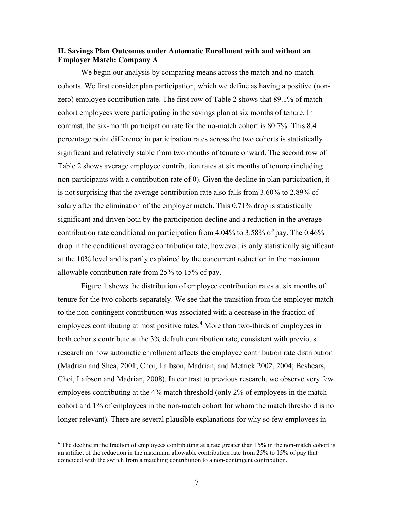### **II. Savings Plan Outcomes under Automatic Enrollment with and without an Employer Match: Company A**

 We begin our analysis by comparing means across the match and no-match cohorts. We first consider plan participation, which we define as having a positive (nonzero) employee contribution rate. The first row of Table 2 shows that 89.1% of matchcohort employees were participating in the savings plan at six months of tenure. In contrast, the six-month participation rate for the no-match cohort is 80.7%. This 8.4 percentage point difference in participation rates across the two cohorts is statistically significant and relatively stable from two months of tenure onward. The second row of Table 2 shows average employee contribution rates at six months of tenure (including non-participants with a contribution rate of 0). Given the decline in plan participation, it is not surprising that the average contribution rate also falls from 3.60% to 2.89% of salary after the elimination of the employer match. This 0.71% drop is statistically significant and driven both by the participation decline and a reduction in the average contribution rate conditional on participation from 4.04% to 3.58% of pay. The 0.46% drop in the conditional average contribution rate, however, is only statistically significant at the 10% level and is partly explained by the concurrent reduction in the maximum allowable contribution rate from 25% to 15% of pay.

 Figure 1 shows the distribution of employee contribution rates at six months of tenure for the two cohorts separately. We see that the transition from the employer match to the non-contingent contribution was associated with a decrease in the fraction of employees contributing at most positive rates.<sup>4</sup> More than two-thirds of employees in both cohorts contribute at the 3% default contribution rate, consistent with previous research on how automatic enrollment affects the employee contribution rate distribution (Madrian and Shea, 2001; Choi, Laibson, Madrian, and Metrick 2002, 2004; Beshears, Choi, Laibson and Madrian, 2008). In contrast to previous research, we observe very few employees contributing at the 4% match threshold (only 2% of employees in the match cohort and 1% of employees in the non-match cohort for whom the match threshold is no longer relevant). There are several plausible explanations for why so few employees in

<sup>&</sup>lt;sup>4</sup> The decline in the fraction of employees contributing at a rate greater than 15% in the non-match cohort is an artifact of the reduction in the maximum allowable contribution rate from 25% to 15% of pay that coincided with the switch from a matching contribution to a non-contingent contribution.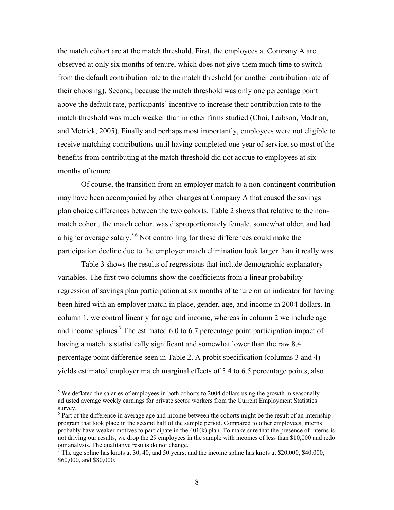the match cohort are at the match threshold. First, the employees at Company A are observed at only six months of tenure, which does not give them much time to switch from the default contribution rate to the match threshold (or another contribution rate of their choosing). Second, because the match threshold was only one percentage point above the default rate, participants' incentive to increase their contribution rate to the match threshold was much weaker than in other firms studied (Choi, Laibson, Madrian, and Metrick, 2005). Finally and perhaps most importantly, employees were not eligible to receive matching contributions until having completed one year of service, so most of the benefits from contributing at the match threshold did not accrue to employees at six months of tenure.

 Of course, the transition from an employer match to a non-contingent contribution may have been accompanied by other changes at Company A that caused the savings plan choice differences between the two cohorts. Table 2 shows that relative to the nonmatch cohort, the match cohort was disproportionately female, somewhat older, and had a higher average salary.5,6 Not controlling for these differences could make the participation decline due to the employer match elimination look larger than it really was.

Table 3 shows the results of regressions that include demographic explanatory variables. The first two columns show the coefficients from a linear probability regression of savings plan participation at six months of tenure on an indicator for having been hired with an employer match in place, gender, age, and income in 2004 dollars. In column 1, we control linearly for age and income, whereas in column 2 we include age and income splines.<sup>7</sup> The estimated 6.0 to 6.7 percentage point participation impact of having a match is statistically significant and somewhat lower than the raw 8.4 percentage point difference seen in Table 2. A probit specification (columns 3 and 4) yields estimated employer match marginal effects of 5.4 to 6.5 percentage points, also

 $<sup>5</sup>$  We deflated the salaries of employees in both cohorts to 2004 dollars using the growth in seasonally</sup> adjusted average weekly earnings for private sector workers from the Current Employment Statistics survey.

 $6$  Part of the difference in average age and income between the cohorts might be the result of an internship program that took place in the second half of the sample period. Compared to other employees, interns probably have weaker motives to participate in the  $401(k)$  plan. To make sure that the presence of interns is not driving our results, we drop the 29 employees in the sample with incomes of less than \$10,000 and redo our analysis. The qualitative results do not change.

<sup>&</sup>lt;sup>7</sup> The age spline has knots at 30, 40, and 50 years, and the income spline has knots at \$20,000, \$40,000, \$60,000, and \$80,000.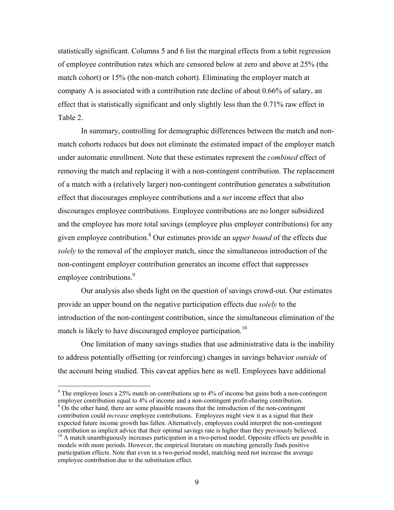statistically significant. Columns 5 and 6 list the marginal effects from a tobit regression of employee contribution rates which are censored below at zero and above at 25% (the match cohort) or 15% (the non-match cohort). Eliminating the employer match at company A is associated with a contribution rate decline of about 0.66% of salary, an effect that is statistically significant and only slightly less than the 0.71% raw effect in Table 2.

In summary, controlling for demographic differences between the match and nonmatch cohorts reduces but does not eliminate the estimated impact of the employer match under automatic enrollment. Note that these estimates represent the *combined* effect of removing the match and replacing it with a non-contingent contribution. The replacement of a match with a (relatively larger) non-contingent contribution generates a substitution effect that discourages employee contributions and a *net* income effect that also discourages employee contributions. Employee contributions are no longer subsidized and the employee has more total savings (employee plus employer contributions) for any given employee contribution.8 Our estimates provide an *upper bound* of the effects due *solely* to the removal of the employer match, since the simultaneous introduction of the non-contingent employer contribution generates an income effect that suppresses employee contributions.<sup>9</sup>

Our analysis also sheds light on the question of savings crowd-out. Our estimates provide an upper bound on the negative participation effects due *solely* to the introduction of the non-contingent contribution, since the simultaneous elimination of the match is likely to have discouraged employee participation.<sup>10</sup>

One limitation of many savings studies that use administrative data is the inability to address potentially offsetting (or reinforcing) changes in savings behavior *outside* of the account being studied. This caveat applies here as well. Employees have additional

 $8$  The employee loses a 25% match on contributions up to 4% of income but gains both a non-contingent employer contribution equal to 4% of income and a non-contingent profit-sharing contribution.

<sup>&</sup>lt;sup>9</sup> On the other hand, there are some plausible reasons that the introduction of the non-contingent contribution could *increase* employee contributions. Employees might view it as a signal that their expected future income growth has fallen. Alternatively, employees could interpret the non-contingent contribution as implicit advice that their optimal savings rate is higher than they previously believed.

<sup>&</sup>lt;sup>10</sup> A match unambiguously increases participation in a two-period model. Opposite effects are possible in models with more periods. However, the empirical literature on matching generally finds positive participation effects. Note that even in a two-period model, matching need not increase the average employee contribution due to the substitution effect.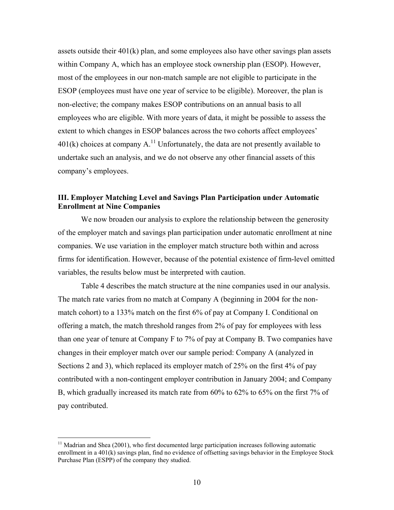assets outside their 401(k) plan, and some employees also have other savings plan assets within Company A, which has an employee stock ownership plan (ESOP). However, most of the employees in our non-match sample are not eligible to participate in the ESOP (employees must have one year of service to be eligible). Moreover, the plan is non-elective; the company makes ESOP contributions on an annual basis to all employees who are eligible. With more years of data, it might be possible to assess the extent to which changes in ESOP balances across the two cohorts affect employees'  $401(k)$  choices at company A.<sup>11</sup> Unfortunately, the data are not presently available to undertake such an analysis, and we do not observe any other financial assets of this company's employees.

### **III. Employer Matching Level and Savings Plan Participation under Automatic Enrollment at Nine Companies**

 We now broaden our analysis to explore the relationship between the generosity of the employer match and savings plan participation under automatic enrollment at nine companies. We use variation in the employer match structure both within and across firms for identification. However, because of the potential existence of firm-level omitted variables, the results below must be interpreted with caution.

Table 4 describes the match structure at the nine companies used in our analysis. The match rate varies from no match at Company A (beginning in 2004 for the nonmatch cohort) to a 133% match on the first 6% of pay at Company I. Conditional on offering a match, the match threshold ranges from 2% of pay for employees with less than one year of tenure at Company F to 7% of pay at Company B. Two companies have changes in their employer match over our sample period: Company A (analyzed in Sections 2 and 3), which replaced its employer match of 25% on the first 4% of pay contributed with a non-contingent employer contribution in January 2004; and Company B, which gradually increased its match rate from 60% to 62% to 65% on the first 7% of pay contributed.

 $11$  Madrian and Shea (2001), who first documented large participation increases following automatic enrollment in a 401(k) savings plan, find no evidence of offsetting savings behavior in the Employee Stock Purchase Plan (ESPP) of the company they studied.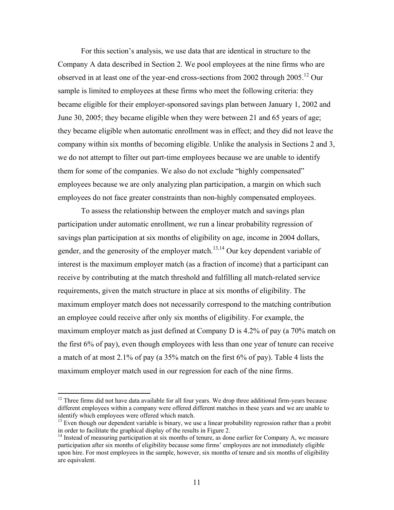For this section's analysis, we use data that are identical in structure to the Company A data described in Section 2. We pool employees at the nine firms who are observed in at least one of the year-end cross-sections from 2002 through 2005.12 Our sample is limited to employees at these firms who meet the following criteria: they became eligible for their employer-sponsored savings plan between January 1, 2002 and June 30, 2005; they became eligible when they were between 21 and 65 years of age; they became eligible when automatic enrollment was in effect; and they did not leave the company within six months of becoming eligible. Unlike the analysis in Sections 2 and 3, we do not attempt to filter out part-time employees because we are unable to identify them for some of the companies. We also do not exclude "highly compensated" employees because we are only analyzing plan participation, a margin on which such employees do not face greater constraints than non-highly compensated employees.

 To assess the relationship between the employer match and savings plan participation under automatic enrollment, we run a linear probability regression of savings plan participation at six months of eligibility on age, income in 2004 dollars, gender, and the generosity of the employer match.<sup>13,14</sup> Our key dependent variable of interest is the maximum employer match (as a fraction of income) that a participant can receive by contributing at the match threshold and fulfilling all match-related service requirements, given the match structure in place at six months of eligibility. The maximum employer match does not necessarily correspond to the matching contribution an employee could receive after only six months of eligibility. For example, the maximum employer match as just defined at Company D is 4.2% of pay (a 70% match on the first 6% of pay), even though employees with less than one year of tenure can receive a match of at most 2.1% of pay (a 35% match on the first 6% of pay). Table 4 lists the maximum employer match used in our regression for each of the nine firms.

 $12$  Three firms did not have data available for all four years. We drop three additional firm-years because different employees within a company were offered different matches in these years and we are unable to identify which employees were offered which match.

 $<sup>13</sup>$  Even though our dependent variable is binary, we use a linear probability regression rather than a probit</sup> in order to facilitate the graphical display of the results in Figure 2.

<sup>&</sup>lt;sup>14</sup> Instead of measuring participation at six months of tenure, as done earlier for Company A, we measure participation after six months of eligibility because some firms' employees are not immediately eligible upon hire. For most employees in the sample, however, six months of tenure and six months of eligibility are equivalent.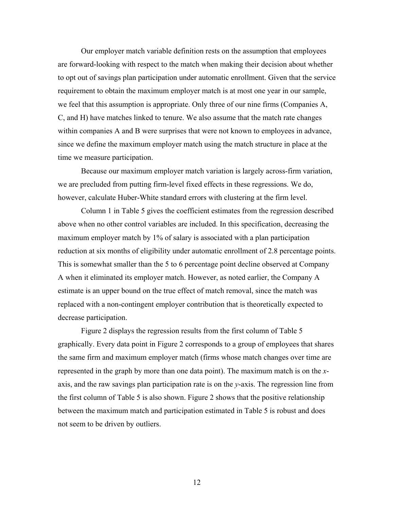Our employer match variable definition rests on the assumption that employees are forward-looking with respect to the match when making their decision about whether to opt out of savings plan participation under automatic enrollment. Given that the service requirement to obtain the maximum employer match is at most one year in our sample, we feel that this assumption is appropriate. Only three of our nine firms (Companies A, C, and H) have matches linked to tenure. We also assume that the match rate changes within companies A and B were surprises that were not known to employees in advance, since we define the maximum employer match using the match structure in place at the time we measure participation.

Because our maximum employer match variation is largely across-firm variation, we are precluded from putting firm-level fixed effects in these regressions. We do, however, calculate Huber-White standard errors with clustering at the firm level.

 Column 1 in Table 5 gives the coefficient estimates from the regression described above when no other control variables are included. In this specification, decreasing the maximum employer match by 1% of salary is associated with a plan participation reduction at six months of eligibility under automatic enrollment of 2.8 percentage points. This is somewhat smaller than the 5 to 6 percentage point decline observed at Company A when it eliminated its employer match. However, as noted earlier, the Company A estimate is an upper bound on the true effect of match removal, since the match was replaced with a non-contingent employer contribution that is theoretically expected to decrease participation.

 Figure 2 displays the regression results from the first column of Table 5 graphically. Every data point in Figure 2 corresponds to a group of employees that shares the same firm and maximum employer match (firms whose match changes over time are represented in the graph by more than one data point). The maximum match is on the *x*axis, and the raw savings plan participation rate is on the *y*-axis. The regression line from the first column of Table 5 is also shown. Figure 2 shows that the positive relationship between the maximum match and participation estimated in Table 5 is robust and does not seem to be driven by outliers.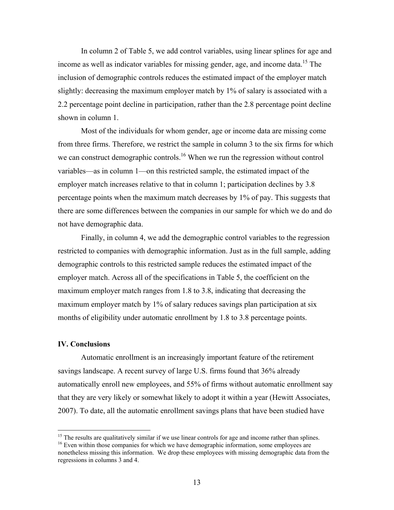In column 2 of Table 5, we add control variables, using linear splines for age and income as well as indicator variables for missing gender, age, and income data.<sup>15</sup> The inclusion of demographic controls reduces the estimated impact of the employer match slightly: decreasing the maximum employer match by 1% of salary is associated with a 2.2 percentage point decline in participation, rather than the 2.8 percentage point decline shown in column 1.

Most of the individuals for whom gender, age or income data are missing come from three firms. Therefore, we restrict the sample in column 3 to the six firms for which we can construct demographic controls.<sup>16</sup> When we run the regression without control variables—as in column 1—on this restricted sample, the estimated impact of the employer match increases relative to that in column 1; participation declines by 3.8 percentage points when the maximum match decreases by 1% of pay. This suggests that there are some differences between the companies in our sample for which we do and do not have demographic data.

Finally, in column 4, we add the demographic control variables to the regression restricted to companies with demographic information. Just as in the full sample, adding demographic controls to this restricted sample reduces the estimated impact of the employer match. Across all of the specifications in Table 5, the coefficient on the maximum employer match ranges from 1.8 to 3.8, indicating that decreasing the maximum employer match by 1% of salary reduces savings plan participation at six months of eligibility under automatic enrollment by 1.8 to 3.8 percentage points.

#### **IV. Conclusions**

 Automatic enrollment is an increasingly important feature of the retirement savings landscape. A recent survey of large U.S. firms found that 36% already automatically enroll new employees, and 55% of firms without automatic enrollment say that they are very likely or somewhat likely to adopt it within a year (Hewitt Associates, 2007). To date, all the automatic enrollment savings plans that have been studied have

<sup>&</sup>lt;sup>15</sup> The results are qualitatively similar if we use linear controls for age and income rather than splines.

 $16$  Even within those companies for which we have demographic information, some employees are nonetheless missing this information. We drop these employees with missing demographic data from the regressions in columns 3 and 4.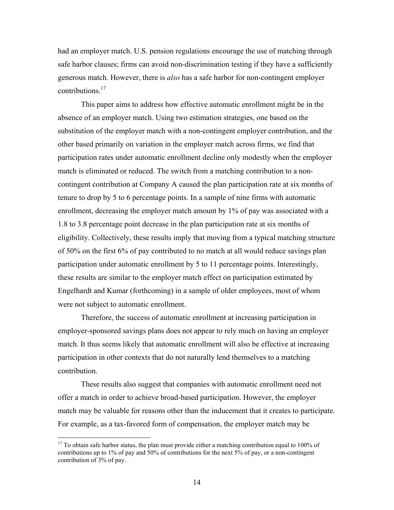had an employer match. U.S. pension regulations encourage the use of matching through safe harbor clauses; firms can avoid non-discrimination testing if they have a sufficiently generous match. However, there is *also* has a safe harbor for non-contingent employer contributions.<sup>17</sup>

This paper aims to address how effective automatic enrollment might be in the absence of an employer match. Using two estimation strategies, one based on the substitution of the employer match with a non-contingent employer contribution, and the other based primarily on variation in the employer match across firms, we find that participation rates under automatic enrollment decline only modestly when the employer match is eliminated or reduced. The switch from a matching contribution to a noncontingent contribution at Company A caused the plan participation rate at six months of tenure to drop by 5 to 6 percentage points. In a sample of nine firms with automatic enrollment, decreasing the employer match amount by 1% of pay was associated with a 1.8 to 3.8 percentage point decrease in the plan participation rate at six months of eligibility. Collectively, these results imply that moving from a typical matching structure of 50% on the first 6% of pay contributed to no match at all would reduce savings plan participation under automatic enrollment by 5 to 11 percentage points. Interestingly, these results are similar to the employer match effect on participation estimated by Engelhardt and Kumar (forthcoming) in a sample of older employees, most of whom were not subject to automatic enrollment.

Therefore, the success of automatic enrollment at increasing participation in employer-sponsored savings plans does not appear to rely much on having an employer match. It thus seems likely that automatic enrollment will also be effective at increasing participation in other contexts that do not naturally lend themselves to a matching contribution.

These results also suggest that companies with automatic enrollment need not offer a match in order to achieve broad-based participation. However, the employer match may be valuable for reasons other than the inducement that it creates to participate. For example, as a tax-favored form of compensation, the employer match may be

 $17$  To obtain safe harbor status, the plan must provide either a matching contribution equal to 100% of contributions up to 1% of pay and 50% of contributions for the next 5% of pay, or a non-contingent contribution of 3% of pay.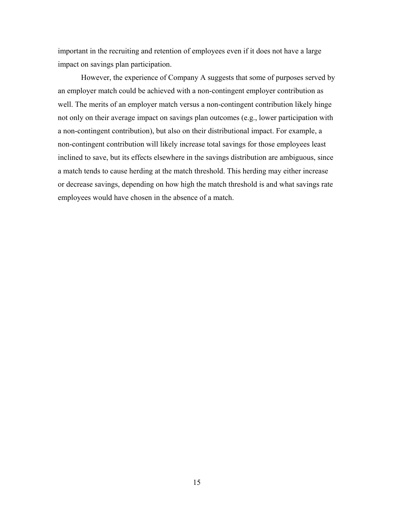important in the recruiting and retention of employees even if it does not have a large impact on savings plan participation.

However, the experience of Company A suggests that some of purposes served by an employer match could be achieved with a non-contingent employer contribution as well. The merits of an employer match versus a non-contingent contribution likely hinge not only on their average impact on savings plan outcomes (e.g., lower participation with a non-contingent contribution), but also on their distributional impact. For example, a non-contingent contribution will likely increase total savings for those employees least inclined to save, but its effects elsewhere in the savings distribution are ambiguous, since a match tends to cause herding at the match threshold. This herding may either increase or decrease savings, depending on how high the match threshold is and what savings rate employees would have chosen in the absence of a match.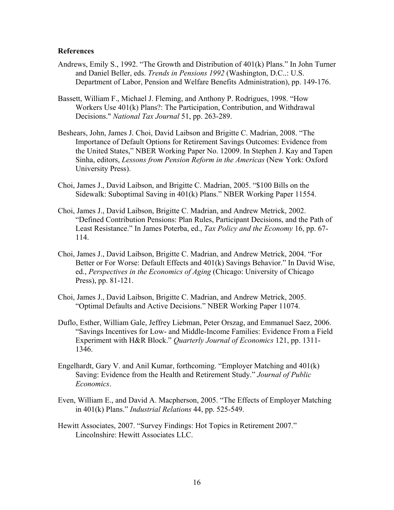#### **References**

- Andrews, Emily S., 1992. "The Growth and Distribution of 401(k) Plans." In John Turner and Daniel Beller, eds. *Trends in Pensions 1992* (Washington, D.C..: U.S. Department of Labor, Pension and Welfare Benefits Administration), pp. 149-176.
- Bassett, William F., Michael J. Fleming, and Anthony P. Rodrigues, 1998. "How Workers Use 401(k) Plans?: The Participation, Contribution, and Withdrawal Decisions." *National Tax Journal* 51, pp. 263-289.
- Beshears, John, James J. Choi, David Laibson and Brigitte C. Madrian, 2008. "The Importance of Default Options for Retirement Savings Outcomes: Evidence from the United States," NBER Working Paper No. 12009. In Stephen J. Kay and Tapen Sinha, editors, *Lessons from Pension Reform in the Americas* (New York: Oxford University Press).
- Choi, James J., David Laibson, and Brigitte C. Madrian, 2005. "\$100 Bills on the Sidewalk: Suboptimal Saving in 401(k) Plans." NBER Working Paper 11554.
- Choi, James J., David Laibson, Brigitte C. Madrian, and Andrew Metrick, 2002. "Defined Contribution Pensions: Plan Rules, Participant Decisions, and the Path of Least Resistance." In James Poterba, ed., *Tax Policy and the Economy* 16, pp. 67- 114.
- Choi, James J., David Laibson, Brigitte C. Madrian, and Andrew Metrick, 2004. "For Better or For Worse: Default Effects and 401(k) Savings Behavior." In David Wise, ed., *Perspectives in the Economics of Aging* (Chicago: University of Chicago Press), pp. 81-121.
- Choi, James J., David Laibson, Brigitte C. Madrian, and Andrew Metrick, 2005. "Optimal Defaults and Active Decisions." NBER Working Paper 11074.
- Duflo, Esther, William Gale, Jeffrey Liebman, Peter Orszag, and Emmanuel Saez, 2006. "Savings Incentives for Low- and Middle-Income Families: Evidence From a Field Experiment with H&R Block." *Quarterly Journal of Economics* 121, pp. 1311- 1346.
- Engelhardt, Gary V. and Anil Kumar, forthcoming. "Employer Matching and 401(k) Saving: Evidence from the Health and Retirement Study." *Journal of Public Economics*.
- Even, William E., and David A. Macpherson, 2005. "The Effects of Employer Matching in 401(k) Plans." *Industrial Relations* 44, pp. 525-549.
- Hewitt Associates, 2007. "Survey Findings: Hot Topics in Retirement 2007." Lincolnshire: Hewitt Associates LLC.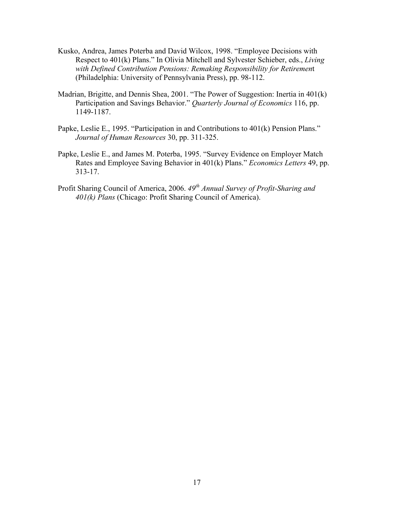- Kusko, Andrea, James Poterba and David Wilcox, 1998. "Employee Decisions with Respect to 401(k) Plans." In Olivia Mitchell and Sylvester Schieber, eds., *Living with Defined Contribution Pensions: Remaking Responsibility for Retiremen*t (Philadelphia: University of Pennsylvania Press), pp. 98-112.
- Madrian, Brigitte, and Dennis Shea, 2001. "The Power of Suggestion: Inertia in 401(k) Participation and Savings Behavior." *Quarterly Journal of Economics* 116, pp. 1149-1187.
- Papke, Leslie E., 1995. "Participation in and Contributions to 401(k) Pension Plans." *Journal of Human Resources* 30, pp. 311-325.
- Papke, Leslie E., and James M. Poterba, 1995. "Survey Evidence on Employer Match Rates and Employee Saving Behavior in 401(k) Plans." *Economics Letters* 49, pp. 313-17.
- Profit Sharing Council of America, 2006. *49th Annual Survey of Profit-Sharing and 401(k) Plans* (Chicago: Profit Sharing Council of America).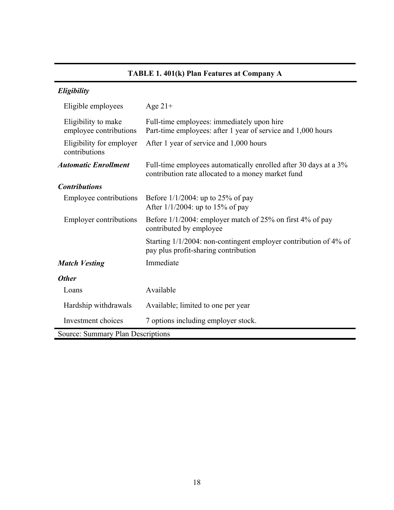# **TABLE 1. 401(k) Plan Features at Company A**

| Eligibility                                   |                                                                                                                        |
|-----------------------------------------------|------------------------------------------------------------------------------------------------------------------------|
| Eligible employees                            | Age $21+$                                                                                                              |
| Eligibility to make<br>employee contributions | Full-time employees: immediately upon hire<br>Part-time employees: after 1 year of service and 1,000 hours             |
| Eligibility for employer<br>contributions     | After 1 year of service and 1,000 hours                                                                                |
| <b>Automatic Enrollment</b>                   | Full-time employees automatically enrolled after 30 days at a 3%<br>contribution rate allocated to a money market fund |
| <b>Contributions</b>                          |                                                                                                                        |
| <b>Employee contributions</b>                 | Before $1/1/2004$ : up to 25% of pay<br>After $1/1/2004$ : up to 15% of pay                                            |
| <b>Employer contributions</b>                 | Before 1/1/2004: employer match of 25% on first 4% of pay<br>contributed by employee                                   |
|                                               | Starting 1/1/2004: non-contingent employer contribution of 4% of<br>pay plus profit-sharing contribution               |
| <b>Match Vesting</b>                          | Immediate                                                                                                              |
| <b>Other</b>                                  |                                                                                                                        |
| Loans                                         | Available                                                                                                              |
| Hardship withdrawals                          | Available; limited to one per year                                                                                     |
| Investment choices                            | 7 options including employer stock.                                                                                    |
| Source: Summary Plan Descriptions             |                                                                                                                        |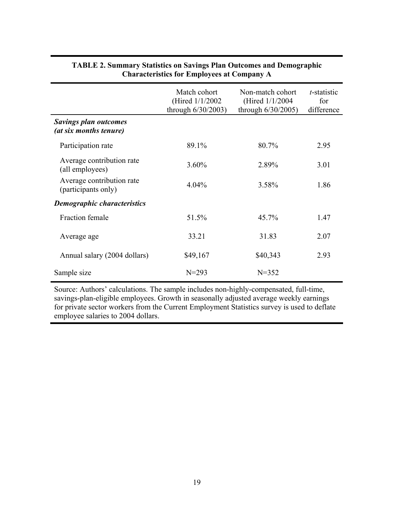|                                                        | Match cohort<br>(Hired $1/1/2002$ )<br>through $6/30/2003$ ) | Non-match cohort<br>(Hired 1/1/2004)<br>through $6/30/2005$ ) | t-statistic<br>for<br>difference |
|--------------------------------------------------------|--------------------------------------------------------------|---------------------------------------------------------------|----------------------------------|
| <b>Savings plan outcomes</b><br>(at six months tenure) |                                                              |                                                               |                                  |
| Participation rate                                     | 89.1%                                                        | 80.7%                                                         | 2.95                             |
| Average contribution rate<br>(all employees)           | 3.60%                                                        | 2.89%                                                         | 3.01                             |
| Average contribution rate<br>(participants only)       | $4.04\%$                                                     | 3.58%                                                         | 1.86                             |
| <b>Demographic characteristics</b>                     |                                                              |                                                               |                                  |
| <b>Fraction female</b>                                 | 51.5%                                                        | 45.7%                                                         | 1.47                             |
| Average age                                            | 33.21                                                        | 31.83                                                         | 2.07                             |
| Annual salary (2004 dollars)                           | \$49,167                                                     | \$40,343                                                      | 2.93                             |
| Sample size                                            | $N = 293$                                                    | $N = 352$                                                     |                                  |

## **TABLE 2. Summary Statistics on Savings Plan Outcomes and Demographic Characteristics for Employees at Company A**

Source: Authors' calculations. The sample includes non-highly-compensated, full-time, savings-plan-eligible employees. Growth in seasonally adjusted average weekly earnings for private sector workers from the Current Employment Statistics survey is used to deflate employee salaries to 2004 dollars.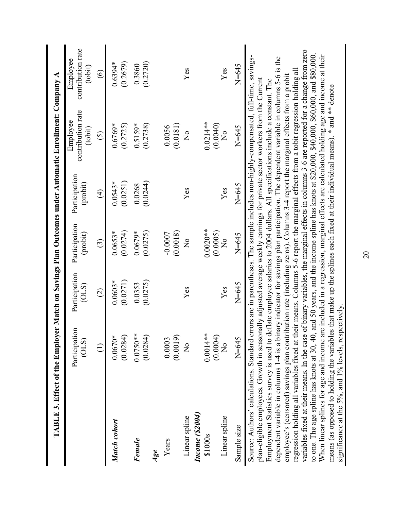|                                                                                                                                                                                                                                                                                                                                                                                                                                                                                                                                                                                                                                                                                                                                                                                                                                                                                                                                                                                                                                                                                                                                                                                                                                                                                                                                            |                                                                |                        |                                                |                           | TABLE 3. Effect of the Employer Match on Savings Plan Outcomes under Automatic Enrollment: Company A |                                          |
|--------------------------------------------------------------------------------------------------------------------------------------------------------------------------------------------------------------------------------------------------------------------------------------------------------------------------------------------------------------------------------------------------------------------------------------------------------------------------------------------------------------------------------------------------------------------------------------------------------------------------------------------------------------------------------------------------------------------------------------------------------------------------------------------------------------------------------------------------------------------------------------------------------------------------------------------------------------------------------------------------------------------------------------------------------------------------------------------------------------------------------------------------------------------------------------------------------------------------------------------------------------------------------------------------------------------------------------------|----------------------------------------------------------------|------------------------|------------------------------------------------|---------------------------|------------------------------------------------------------------------------------------------------|------------------------------------------|
|                                                                                                                                                                                                                                                                                                                                                                                                                                                                                                                                                                                                                                                                                                                                                                                                                                                                                                                                                                                                                                                                                                                                                                                                                                                                                                                                            | Participation<br>(0LS)                                         | Participation<br>(0LS) | Participation<br>(probit)                      | Participation<br>(probit) | contribution rate<br>Employee<br>(tobit)                                                             | contribution rate<br>Employee<br>(tobit) |
|                                                                                                                                                                                                                                                                                                                                                                                                                                                                                                                                                                                                                                                                                                                                                                                                                                                                                                                                                                                                                                                                                                                                                                                                                                                                                                                                            | $\begin{array}{c}\n\begin{array}{c}\n\end{array}\n\end{array}$ | $\widehat{c}$          | $\widehat{c}$                                  | $\widehat{t}$             | $\widehat{\odot}$                                                                                    | $\widehat{\circ}$                        |
| Match cohort                                                                                                                                                                                                                                                                                                                                                                                                                                                                                                                                                                                                                                                                                                                                                                                                                                                                                                                                                                                                                                                                                                                                                                                                                                                                                                                               | $0.0670*$<br>(0.0284)                                          | (0.0271)<br>$0.0603*$  | (0.0274)<br>$0.0653*$                          | (0.0251)<br>$0.0543*$     | (0.2725)<br>$0.6769*$                                                                                | (0.2679)<br>$0.6394*$                    |
| Female                                                                                                                                                                                                                                                                                                                                                                                                                                                                                                                                                                                                                                                                                                                                                                                                                                                                                                                                                                                                                                                                                                                                                                                                                                                                                                                                     | $0.0750**$<br>(0.0284)                                         | (0.0275)<br>0.0353     | (0.0275)<br>$0.0679*$                          | (0.0244)<br>0.0268        | $0.5159*$<br>(0.2738)                                                                                | (0.2720)<br>0.3860                       |
| Age                                                                                                                                                                                                                                                                                                                                                                                                                                                                                                                                                                                                                                                                                                                                                                                                                                                                                                                                                                                                                                                                                                                                                                                                                                                                                                                                        |                                                                |                        |                                                |                           |                                                                                                      |                                          |
| Years                                                                                                                                                                                                                                                                                                                                                                                                                                                                                                                                                                                                                                                                                                                                                                                                                                                                                                                                                                                                                                                                                                                                                                                                                                                                                                                                      | 0.0003<br>(0.0019)                                             |                        | (0.0018)<br>$-0.0007$                          |                           | (0.0181)<br>0.0056                                                                                   |                                          |
| Income (\$2004)<br>Linear spline                                                                                                                                                                                                                                                                                                                                                                                                                                                                                                                                                                                                                                                                                                                                                                                                                                                                                                                                                                                                                                                                                                                                                                                                                                                                                                           | $\frac{1}{2}$                                                  | Yes                    | $\frac{1}{2}$                                  | Yes                       | $\frac{1}{2}$                                                                                        | Yes                                      |
| Linear spline<br>\$1000s                                                                                                                                                                                                                                                                                                                                                                                                                                                                                                                                                                                                                                                                                                                                                                                                                                                                                                                                                                                                                                                                                                                                                                                                                                                                                                                   | $0.0014**$<br>(0.0004)<br>$\frac{1}{2}$                        | Yes                    | $0.0020**$<br>(0.0005)<br>$\mathsf{z}^{\circ}$ | Yes                       | $0.0214**$<br>(0.0040)<br>$\mathsf{z}^{\circ}$                                                       | Yes                                      |
| Sample size                                                                                                                                                                                                                                                                                                                                                                                                                                                                                                                                                                                                                                                                                                                                                                                                                                                                                                                                                                                                                                                                                                                                                                                                                                                                                                                                | $N = 645$                                                      | $N=645$                | $N = 645$                                      | N=645                     | N=645                                                                                                | N=645                                    |
| variables fixed at their means. In the case of binary variables, the marginal effects in columns 3-6 are reported for a change from zero<br>When linear splines for age and income are included in a regression, marginal effects are calculated holding age and income at their<br>to one. The age spline has knots at 30, 40, and 50 years, and the income spline has knots at \$20,000, \$40,000, \$60,000, and \$80,000<br>dependent variable in columns 1-4 is a binary indicator for savings plan participation. The dependent variable in columns 5-6 is the<br>regression holding all variables fixed at their means. Columns 5-6 report the marginal effects from a tobit regression holding all<br>employee's (censored) savings plan contribution rate (including zeros). Columns 3-4 report the marginal effects from a probit<br>plan-eligible employees. Growth in seasonally adjusted average weekly earnings for private sector workers from the Current<br>Employment Statistics survey is used to deflate employee salaries to 2004 dollars. All specifications include a constant. The<br>means (as opposed to holding the variables that make up the splines each fixed at their individual means). * and ** denote<br>significance at the 5%, and 1% levels, respectively.<br>Source: Authors' calculations. Standard |                                                                |                        |                                                |                           | errors are in parentheses. The sample includes non-highly-compensated, full-time, savings-           |                                          |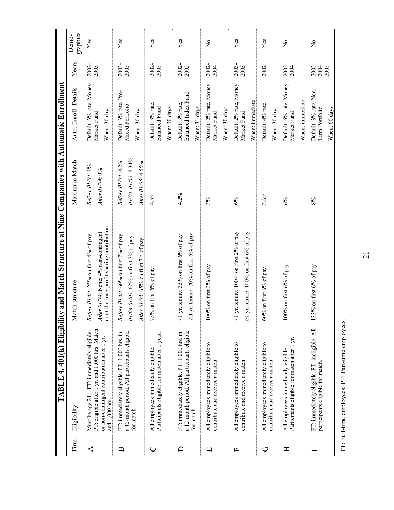|              |                                                                                                                                                             | TABLE 4. 401(k) Eligibility and Match Structure at Nine Companies with Automatic Enrollment                               |                                                                           |                                                            |                      |                         |
|--------------|-------------------------------------------------------------------------------------------------------------------------------------------------------------|---------------------------------------------------------------------------------------------------------------------------|---------------------------------------------------------------------------|------------------------------------------------------------|----------------------|-------------------------|
| Firm         | Eligibility                                                                                                                                                 | Match structure                                                                                                           | Maximum Match                                                             | Auto. Enroll. Details                                      | Years                | graphics<br>Demo-       |
| ⋖            | PT: eligible after 1 yr. and 1,000 hrs. Match<br>Must be age 21+. FT: immediately eligible.<br>or non-contingent contribution after 1 yr.<br>and 1,000 hrs. | contribution+ profit-sharing contribution<br>After 01/04: None; 4% non-contingent<br>Before 01/04: 25% on first 4% of pay | Before 01/04: 1%<br>$After$ 01/04: 0%                                     | Default: 3% rate, Money<br>When: 30 days<br>Market Fund    | 2002-<br>2005        | ${\it Yes}$             |
| $\mathbf{D}$ | a 12-month period. All participants eligible<br>FT: immediately eligible. PT: 1,000 hrs. in<br>for match.                                                   | Before 01/04: 60% on first 7% of pay<br>01/04-01/05: 62% on first 7% of pay<br>After 01/05: 65% on first $7\%$ of pay     | $01/04 - 01/05$ : 4.34%<br>Before 01/04: 4.2%<br>$4$ fter 01/05: $4.55\%$ | Default: 3% rate, Pre-<br>Mixed Portfolio<br>When: 30 days | 2003-<br>2005        | Yes                     |
| $\cup$       | Participants eligible for match after 1 year.<br>All employees immediately eligible                                                                         | 75% on first 6% of pay                                                                                                    | 4.5%                                                                      | Default: 3% rate,<br>Balanced Fund<br>When: 30 days        | 2002-<br>2005        | Yes                     |
| ≏            | a 12-month period. All participants eligible<br>FT: immediately eligible. PT: 1,000 hrs. in<br>for match.                                                   | $\geq$ 1 yr. tenure: 70% on first 6% of pay<br><1 yr. tenure: $35\%$ on first $6\%$ of pay                                | 4.2%                                                                      | Balanced Index Fund<br>Default: 3% rate,<br>When: 31 days  | 2002-<br>2005        | Yes                     |
| щ            | All employees immediately eligible to<br>contribute and receive a match.                                                                                    | 00% on first 3% of pay                                                                                                    | 3%                                                                        | Default: 2% rate, Money<br>When: 30 days<br>Market Fund    | 2002-<br>2004        | $\frac{1}{2}$           |
| 山            | All employees immediately eligible to<br>contribute and receive a match                                                                                     | <1 yr. tenure: $100\%$ on first 2% of pay<br>$\geq$ 1 yr. tenure: 100% on first 6% of pay                                 | 6%                                                                        | Default: 2% rate, Money<br>When: immediate<br>Market Fund  | 2003-<br>2005        | Yes                     |
| ロ            | All employees immediately eligible to<br>contribute and receive a match.                                                                                    | 60% on first 6% of pay                                                                                                    | 3.6%                                                                      | Default: 4% rate<br>When: 30 days                          | 2002                 | ${\bf Yes}$             |
| Ξ            | Participants eligible for match after 1 yr.<br>All employees immediately eligible.                                                                          | $00\%$ on first $6\%$ of pay                                                                                              | 6%                                                                        | Default: 6% rate, Money<br>When: immediate<br>Market Fund  | 2002-<br>2004        | $\overline{\mathsf{z}}$ |
|              | FT: immediately eligible. PT: ineligible. All<br>participants eligible for match.                                                                           | 133% on first 6% of pay                                                                                                   | 8%                                                                        | Default: 3% rate, Near-<br>When: 60 days<br>Term Portfolio | 2002<br>2004<br>2005 | $\frac{1}{2}$           |

FT: Full-time employees. PT: Part-time employees. FT: Full-time employees. PT: Part-time employees.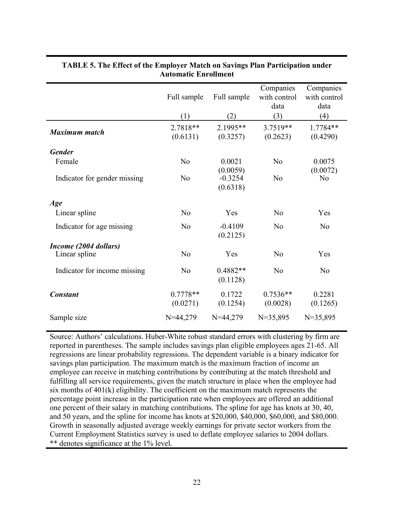|                                        | Full sample<br>(1)     | Full sample<br>(2)                | Companies<br>with control<br>data<br>(3) | Companies<br>with control<br>data<br>(4) |
|----------------------------------------|------------------------|-----------------------------------|------------------------------------------|------------------------------------------|
| <b>Maximum</b> match                   | 2.7818**<br>(0.6131)   | 2.1995**<br>(0.3257)              | 3.7519**<br>(0.2623)                     | 1.7784**<br>(0.4290)                     |
| <b>Gender</b>                          |                        |                                   |                                          |                                          |
| Female                                 | N <sub>o</sub>         | 0.0021                            | N <sub>o</sub>                           | 0.0075                                   |
| Indicator for gender missing           | N <sub>o</sub>         | (0.0059)<br>$-0.3254$<br>(0.6318) | No                                       | (0.0072)<br>N <sub>0</sub>               |
| Age                                    |                        |                                   |                                          |                                          |
| Linear spline                          | N <sub>o</sub>         | Yes                               | N <sub>0</sub>                           | Yes                                      |
| Indicator for age missing              | N <sub>0</sub>         | $-0.4109$<br>(0.2125)             | N <sub>0</sub>                           | N <sub>o</sub>                           |
| Income (2004 dollars)<br>Linear spline | N <sub>0</sub>         | Yes                               | N <sub>o</sub>                           | Yes                                      |
|                                        |                        |                                   |                                          |                                          |
| Indicator for income missing           | N <sub>o</sub>         | 0.4882**<br>(0.1128)              | N <sub>o</sub>                           | N <sub>o</sub>                           |
| <b>Constant</b>                        | $0.7778**$<br>(0.0271) | 0.1722<br>(0.1254)                | $0.7536**$<br>(0.0028)                   | 0.2281<br>(0.1265)                       |
| Sample size                            | $N=44,279$             | $N=44,279$                        | $N=35,895$                               | $N=35,895$                               |

## **TABLE 5. The Effect of the Employer Match on Savings Plan Participation under Automatic Enrollment**

Source: Authors' calculations. Huber-White robust standard errors with clustering by firm are reported in parentheses. The sample includes savings plan eligible employees ages 21-65. All regressions are linear probability regressions. The dependent variable is a binary indicator for savings plan participation. The maximum match is the maximum fraction of income an employee can receive in matching contributions by contributing at the match threshold and fulfilling all service requirements, given the match structure in place when the employee had six months of 401(k) eligibility. The coefficient on the maximum match represents the percentage point increase in the participation rate when employees are offered an additional one percent of their salary in matching contributions. The spline for age has knots at 30, 40, and 50 years, and the spline for income has knots at \$20,000, \$40,000, \$60,000, and \$80,000. Growth in seasonally adjusted average weekly earnings for private sector workers from the Current Employment Statistics survey is used to deflate employee salaries to 2004 dollars. \*\* denotes significance at the 1% level.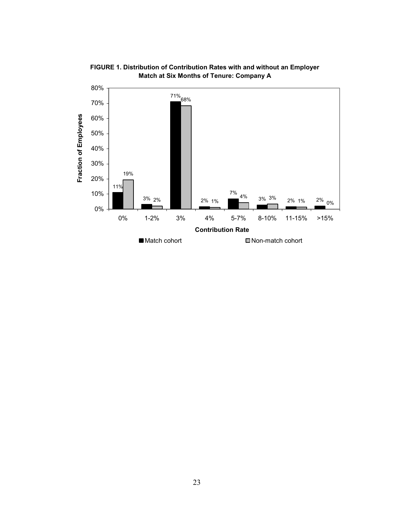

**FIGURE 1. Distribution of Contribution Rates with and without an Employer Match at Six Months of Tenure: Company A**